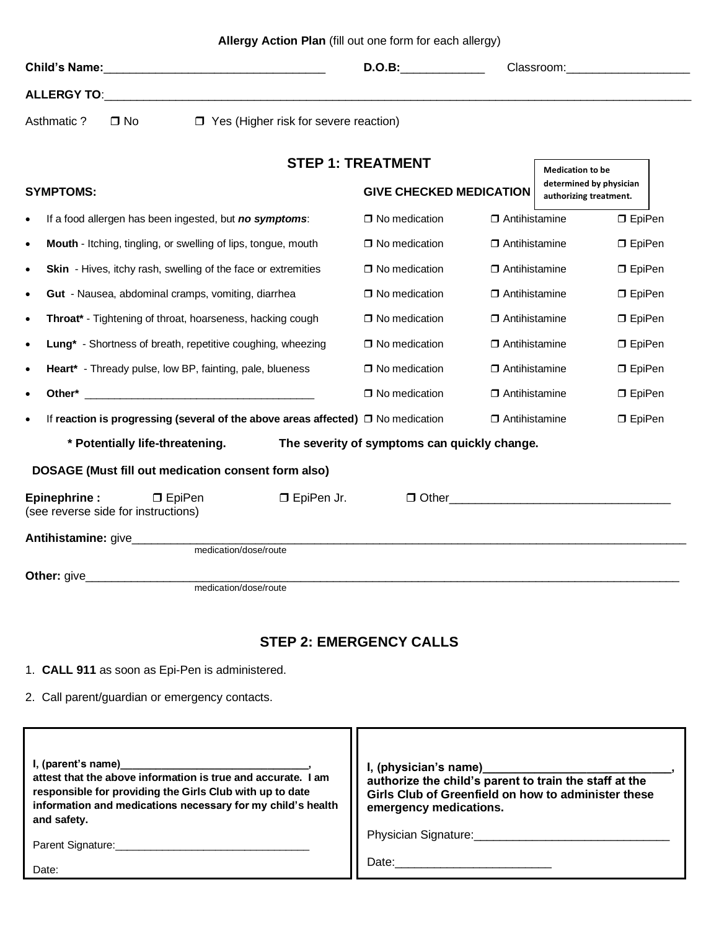|                    | Child's Name: Manual Annual Annual Annual Annual Annual Annual Annual Annual Annual Annual Annual Annual Annua<br><b>D.O.B:</b> | Classroom: 2000 |  |
|--------------------|---------------------------------------------------------------------------------------------------------------------------------|-----------------|--|
| <b>ALLERGY TO:</b> |                                                                                                                                 |                 |  |
| Asthmatic ? □ No   | $\Box$ Yes (Higher risk for severe reaction)                                                                                    |                 |  |
|                    | <b>STEP 1: TREATMENT</b>                                                                                                        | .               |  |

| SIEF I. IREAIMENI<br><b>Medication to be</b>                                          |                                |                      |                                                   |                 |  |  |
|---------------------------------------------------------------------------------------|--------------------------------|----------------------|---------------------------------------------------|-----------------|--|--|
| <b>SYMPTOMS:</b>                                                                      | <b>GIVE CHECKED MEDICATION</b> |                      | determined by physician<br>authorizing treatment. |                 |  |  |
| If a food allergen has been ingested, but no symptoms:                                | $\Box$ No medication           | $\Box$ Antihistamine |                                                   | <b>D</b> EpiPen |  |  |
| Mouth - Itching, tingling, or swelling of lips, tongue, mouth                         | $\Box$ No medication           | $\Box$ Antihistamine |                                                   | $\Box$ EpiPen   |  |  |
| <b>Skin</b> - Hives, itchy rash, swelling of the face or extremities                  | $\Box$ No medication           | $\Box$ Antihistamine |                                                   | $\Box$ EpiPen   |  |  |
| <b>Gut</b> - Nausea, abdominal cramps, vomiting, diarrhea<br>٠                        | $\Box$ No medication           | $\Box$ Antihistamine |                                                   | <b>D</b> EpiPen |  |  |
| <b>Throat*</b> - Tightening of throat, hoarseness, hacking cough                      | □ No medication                | $\Box$ Antihistamine |                                                   | $\Box$ EpiPen   |  |  |
| Lung* - Shortness of breath, repetitive coughing, wheezing                            | □ No medication                | $\Box$ Antihistamine |                                                   | $\Box$ EpiPen   |  |  |
| <b>Heart*</b> - Thready pulse, low BP, fainting, pale, blueness                       | $\Box$ No medication           | $\Box$ Antihistamine |                                                   | $\Box$ EpiPen   |  |  |
|                                                                                       | $\Box$ No medication           | $\Box$ Antihistamine |                                                   | <b>D</b> EpiPen |  |  |
| If reaction is progressing (several of the above areas affected) $\Box$ No medication |                                | $\Box$ Antihistamine |                                                   | <b>D</b> EpiPen |  |  |
| * Potentially life-threatening.<br>The severity of symptoms can quickly change.       |                                |                      |                                                   |                 |  |  |
| DOSAGE (Must fill out medication consent form also)                                   |                                |                      |                                                   |                 |  |  |
| Epinephrine :<br>□ EpiPen Jr.<br>$\Box$ EpiPen<br>(see reverse side for instructions) |                                |                      |                                                   |                 |  |  |
| medication/dose/route                                                                 |                                |                      |                                                   |                 |  |  |
| Other: give<br>medication/dose/route                                                  |                                |                      |                                                   |                 |  |  |

## **STEP 2: EMERGENCY CALLS**

- 1. **CALL 911** as soon as Epi-Pen is administered.
- 2. Call parent/guardian or emergency contacts.

| attest that the above information is true and accurate. I am<br>responsible for providing the Girls Club with up to date<br>information and medications necessary for my child's health<br>and safety.<br>Parent Signature:<br>Date: | I, (physician's name)____________<br>authorize the child's parent to train the staff at the<br>Girls Club of Greenfield on how to administer these<br>emergency medications.<br>Physician Signature:<br>Date: the contract of the contract of the contract of the contract of the contract of the contract of the contract of the contract of the contract of the contract of the contract of the contract of the contract of the cont |
|--------------------------------------------------------------------------------------------------------------------------------------------------------------------------------------------------------------------------------------|----------------------------------------------------------------------------------------------------------------------------------------------------------------------------------------------------------------------------------------------------------------------------------------------------------------------------------------------------------------------------------------------------------------------------------------|
|--------------------------------------------------------------------------------------------------------------------------------------------------------------------------------------------------------------------------------------|----------------------------------------------------------------------------------------------------------------------------------------------------------------------------------------------------------------------------------------------------------------------------------------------------------------------------------------------------------------------------------------------------------------------------------------|